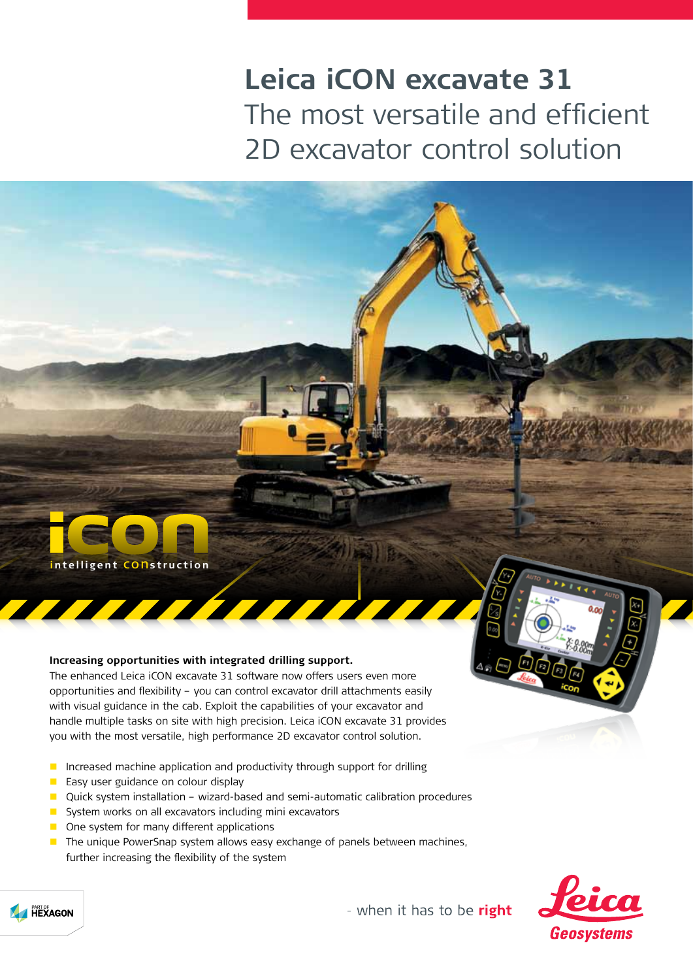## **Leica iCON excavate 31** The most versatile and efficient 2D excavator control solution



## **Increasing opportunities with integrated drilling support.**

The enhanced Leica iCON excavate 31 software now offers users even more opportunities and flexibility – you can control excavator drill attachments easily with visual guidance in the cab. Exploit the capabilities of your excavator and handle multiple tasks on site with high precision. Leica iCON excavate 31 provides you with the most versatile, high performance 2D excavator control solution.

- **Increased machine application and productivity through support for drilling**
- **Easy user guidance on colour display**
- Quick system installation wizard-based and semi-automatic calibration procedures
- System works on all excavators including mini excavators
- One system for many different applications
- **The unique PowerSnap system allows easy exchange of panels between machines,** further increasing the flexibility of the system





- when it has to be right